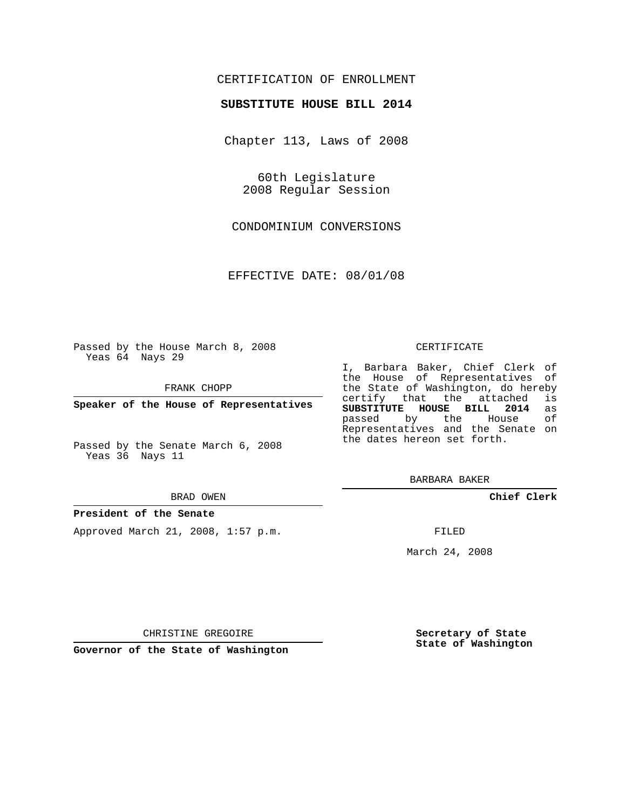## CERTIFICATION OF ENROLLMENT

## **SUBSTITUTE HOUSE BILL 2014**

Chapter 113, Laws of 2008

60th Legislature 2008 Regular Session

CONDOMINIUM CONVERSIONS

EFFECTIVE DATE: 08/01/08

Passed by the House March 8, 2008 Yeas 64 Nays 29

FRANK CHOPP

**Speaker of the House of Representatives**

Passed by the Senate March 6, 2008 Yeas 36 Nays 11

#### BRAD OWEN

### **President of the Senate**

Approved March 21, 2008, 1:57 p.m.

#### CERTIFICATE

I, Barbara Baker, Chief Clerk of the House of Representatives of the State of Washington, do hereby certify that the attached is **SUBSTITUTE HOUSE BILL 2014** as passed by the House Representatives and the Senate on the dates hereon set forth.

BARBARA BAKER

**Chief Clerk**

FILED

March 24, 2008

CHRISTINE GREGOIRE

**Governor of the State of Washington**

**Secretary of State State of Washington**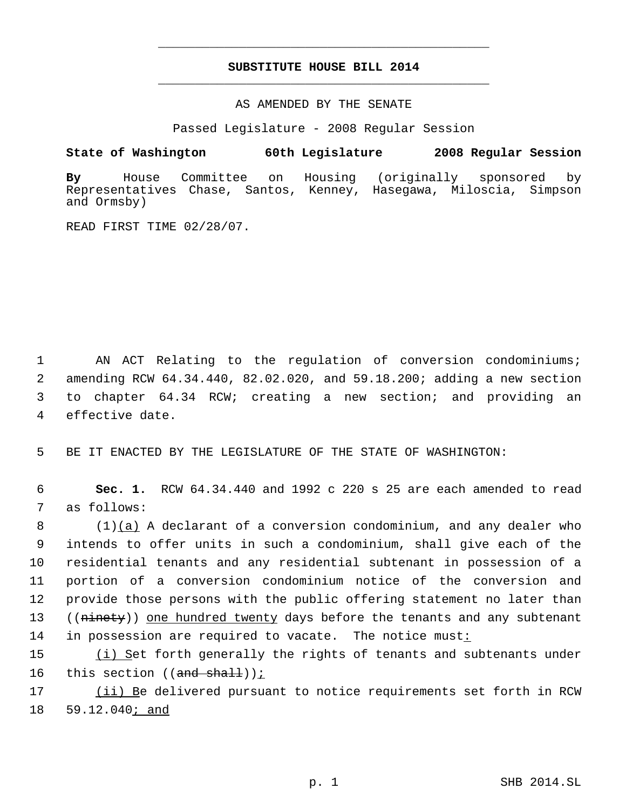# **SUBSTITUTE HOUSE BILL 2014** \_\_\_\_\_\_\_\_\_\_\_\_\_\_\_\_\_\_\_\_\_\_\_\_\_\_\_\_\_\_\_\_\_\_\_\_\_\_\_\_\_\_\_\_\_

\_\_\_\_\_\_\_\_\_\_\_\_\_\_\_\_\_\_\_\_\_\_\_\_\_\_\_\_\_\_\_\_\_\_\_\_\_\_\_\_\_\_\_\_\_

AS AMENDED BY THE SENATE

Passed Legislature - 2008 Regular Session

**State of Washington 60th Legislature 2008 Regular Session**

**By** House Committee on Housing (originally sponsored by Representatives Chase, Santos, Kenney, Hasegawa, Miloscia, Simpson and Ormsby)

READ FIRST TIME 02/28/07.

 AN ACT Relating to the regulation of conversion condominiums; amending RCW 64.34.440, 82.02.020, and 59.18.200; adding a new section to chapter 64.34 RCW; creating a new section; and providing an effective date.

5 BE IT ENACTED BY THE LEGISLATURE OF THE STATE OF WASHINGTON:

 6 **Sec. 1.** RCW 64.34.440 and 1992 c 220 s 25 are each amended to read 7 as follows:

 $(1)$  (a) A declarant of a conversion condominium, and any dealer who intends to offer units in such a condominium, shall give each of the residential tenants and any residential subtenant in possession of a portion of a conversion condominium notice of the conversion and provide those persons with the public offering statement no later than 13 ((ninety)) one hundred twenty days before the tenants and any subtenant 14 in possession are required to vacate. The notice must:

15 (i) Set forth generally the rights of tenants and subtenants under 16 this section  $((and shall))$ ;

17 (ii) Be delivered pursuant to notice requirements set forth in RCW 18 59.12.040; and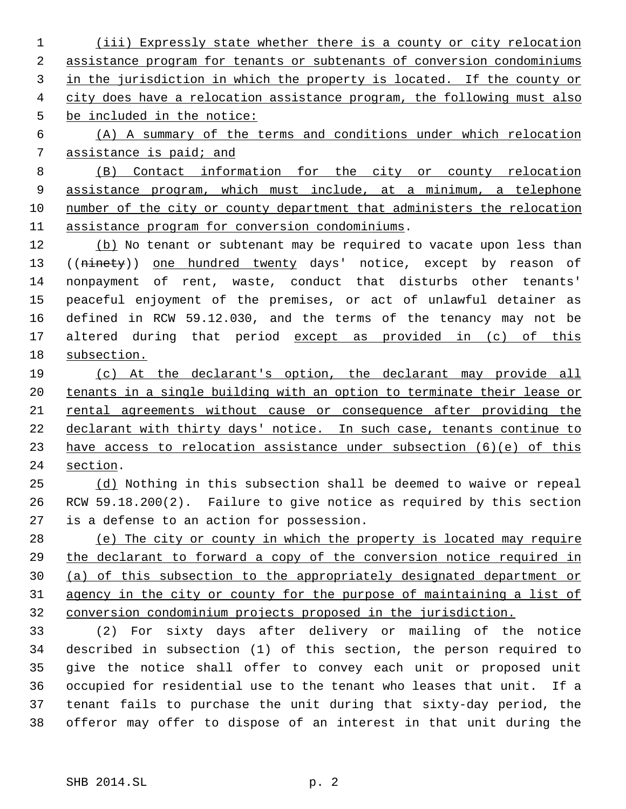(iii) Expressly state whether there is a county or city relocation assistance program for tenants or subtenants of conversion condominiums in the jurisdiction in which the property is located. If the county or 4 city does have a relocation assistance program, the following must also be included in the notice:

 (A) A summary of the terms and conditions under which relocation assistance is paid; and

 (B) Contact information for the city or county relocation assistance program, which must include, at a minimum, a telephone number of the city or county department that administers the relocation assistance program for conversion condominiums.

12 (b) No tenant or subtenant may be required to vacate upon less than 13 ((ninety)) one hundred twenty days' notice, except by reason of nonpayment of rent, waste, conduct that disturbs other tenants' peaceful enjoyment of the premises, or act of unlawful detainer as defined in RCW 59.12.030, and the terms of the tenancy may not be 17 altered during that period except as provided in (c) of this subsection.

 (c) At the declarant's option, the declarant may provide all 20 tenants in a single building with an option to terminate their lease or rental agreements without cause or consequence after providing the declarant with thirty days' notice. In such case, tenants continue to have access to relocation assistance under subsection (6)(e) of this section.

 (d) Nothing in this subsection shall be deemed to waive or repeal RCW 59.18.200(2). Failure to give notice as required by this section is a defense to an action for possession.

 (e) The city or county in which the property is located may require the declarant to forward a copy of the conversion notice required in (a) of this subsection to the appropriately designated department or agency in the city or county for the purpose of maintaining a list of conversion condominium projects proposed in the jurisdiction.

 (2) For sixty days after delivery or mailing of the notice described in subsection (1) of this section, the person required to give the notice shall offer to convey each unit or proposed unit occupied for residential use to the tenant who leases that unit. If a tenant fails to purchase the unit during that sixty-day period, the offeror may offer to dispose of an interest in that unit during the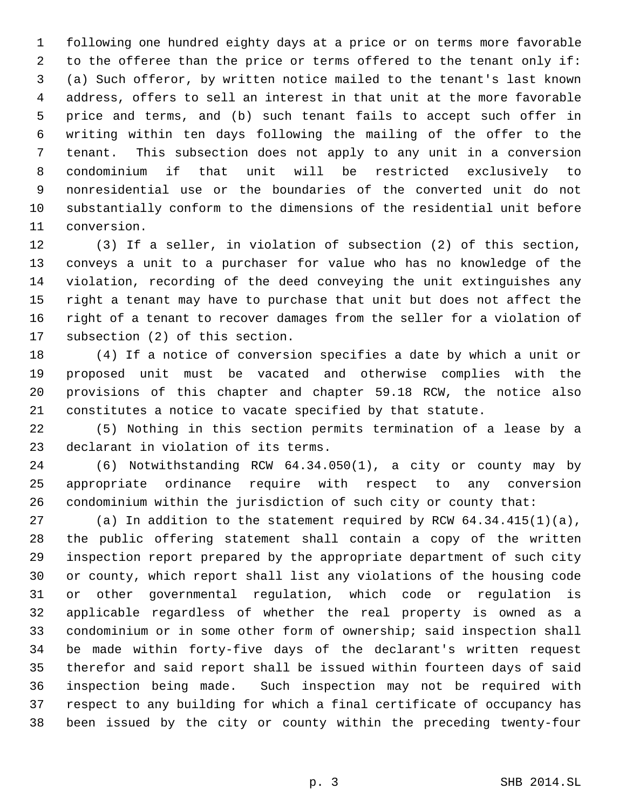following one hundred eighty days at a price or on terms more favorable to the offeree than the price or terms offered to the tenant only if: (a) Such offeror, by written notice mailed to the tenant's last known address, offers to sell an interest in that unit at the more favorable price and terms, and (b) such tenant fails to accept such offer in writing within ten days following the mailing of the offer to the tenant. This subsection does not apply to any unit in a conversion condominium if that unit will be restricted exclusively to nonresidential use or the boundaries of the converted unit do not substantially conform to the dimensions of the residential unit before conversion.

 (3) If a seller, in violation of subsection (2) of this section, conveys a unit to a purchaser for value who has no knowledge of the violation, recording of the deed conveying the unit extinguishes any right a tenant may have to purchase that unit but does not affect the right of a tenant to recover damages from the seller for a violation of subsection (2) of this section.

 (4) If a notice of conversion specifies a date by which a unit or proposed unit must be vacated and otherwise complies with the provisions of this chapter and chapter 59.18 RCW, the notice also constitutes a notice to vacate specified by that statute.

 (5) Nothing in this section permits termination of a lease by a declarant in violation of its terms.

 (6) Notwithstanding RCW 64.34.050(1), a city or county may by appropriate ordinance require with respect to any conversion condominium within the jurisdiction of such city or county that:

 (a) In addition to the statement required by RCW 64.34.415(1)(a), the public offering statement shall contain a copy of the written inspection report prepared by the appropriate department of such city or county, which report shall list any violations of the housing code or other governmental regulation, which code or regulation is applicable regardless of whether the real property is owned as a condominium or in some other form of ownership; said inspection shall be made within forty-five days of the declarant's written request therefor and said report shall be issued within fourteen days of said inspection being made. Such inspection may not be required with respect to any building for which a final certificate of occupancy has been issued by the city or county within the preceding twenty-four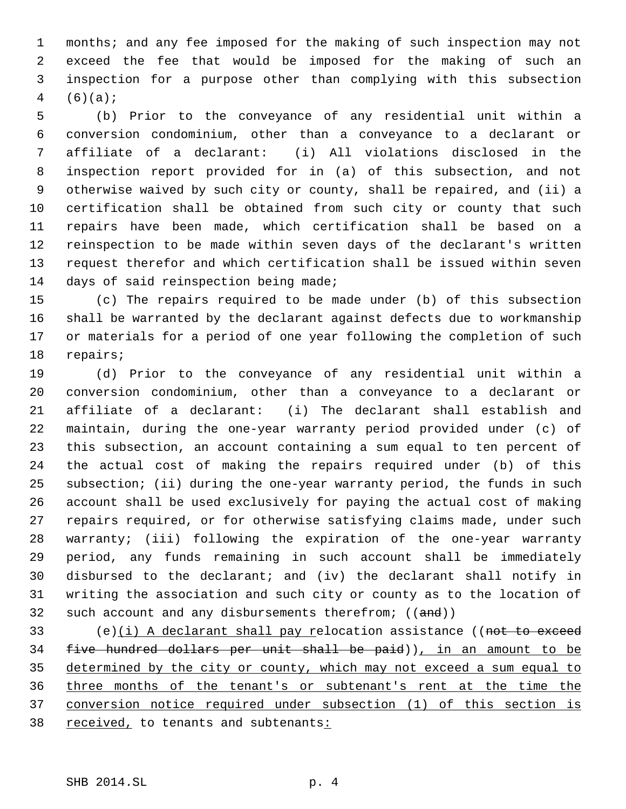months; and any fee imposed for the making of such inspection may not exceed the fee that would be imposed for the making of such an inspection for a purpose other than complying with this subsection  $4 (6)(a);$ 

 (b) Prior to the conveyance of any residential unit within a conversion condominium, other than a conveyance to a declarant or affiliate of a declarant: (i) All violations disclosed in the inspection report provided for in (a) of this subsection, and not otherwise waived by such city or county, shall be repaired, and (ii) a certification shall be obtained from such city or county that such repairs have been made, which certification shall be based on a reinspection to be made within seven days of the declarant's written request therefor and which certification shall be issued within seven days of said reinspection being made;

 (c) The repairs required to be made under (b) of this subsection shall be warranted by the declarant against defects due to workmanship or materials for a period of one year following the completion of such repairs;

 (d) Prior to the conveyance of any residential unit within a conversion condominium, other than a conveyance to a declarant or affiliate of a declarant: (i) The declarant shall establish and maintain, during the one-year warranty period provided under (c) of this subsection, an account containing a sum equal to ten percent of the actual cost of making the repairs required under (b) of this subsection; (ii) during the one-year warranty period, the funds in such account shall be used exclusively for paying the actual cost of making repairs required, or for otherwise satisfying claims made, under such warranty; (iii) following the expiration of the one-year warranty period, any funds remaining in such account shall be immediately disbursed to the declarant; and (iv) the declarant shall notify in writing the association and such city or county as to the location of 32 such account and any disbursements therefrom;  $((and))$ 

 (e)(i) A declarant shall pay relocation assistance ((not to exceed five hundred dollars per unit shall be paid)), in an amount to be 35 determined by the city or county, which may not exceed a sum equal to three months of the tenant's or subtenant's rent at the time the conversion notice required under subsection (1) of this section is 38 received, to tenants and subtenants: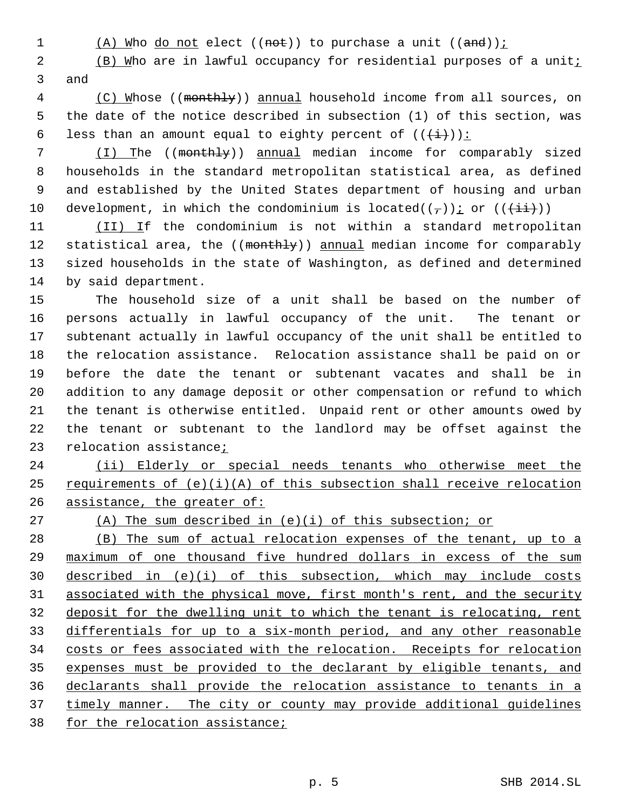1 (A) Who do not elect ((not)) to purchase a unit ((and));

2 (B) Who are in lawful occupancy for residential purposes of a uniti and

 (C) Whose ((monthly)) annual household income from all sources, on the date of the notice described in subsection (1) of this section, was 6 less than an amount equal to eighty percent of  $((\overrightarrow{i}))$ :

 (I) The ((monthly)) annual median income for comparably sized households in the standard metropolitan statistical area, as defined and established by the United States department of housing and urban 10 development, in which the condominium is located( $(\tau)$ ); or ( $(\frac{+i}{+i})$ )

11 (II) If the condominium is not within a standard metropolitan 12 statistical area, the ((monthly)) annual median income for comparably sized households in the state of Washington, as defined and determined by said department.

 The household size of a unit shall be based on the number of persons actually in lawful occupancy of the unit. The tenant or subtenant actually in lawful occupancy of the unit shall be entitled to the relocation assistance. Relocation assistance shall be paid on or before the date the tenant or subtenant vacates and shall be in addition to any damage deposit or other compensation or refund to which the tenant is otherwise entitled. Unpaid rent or other amounts owed by the tenant or subtenant to the landlord may be offset against the relocation assistance;

24 (ii) Elderly or special needs tenants who otherwise meet the 25 requirements of  $(e)(i)(A)$  of this subsection shall receive relocation 26 assistance, the greater of:

(A) The sum described in (e)(i) of this subsection; or

 (B) The sum of actual relocation expenses of the tenant, up to a maximum of one thousand five hundred dollars in excess of the sum described in (e)(i) of this subsection, which may include costs associated with the physical move, first month's rent, and the security deposit for the dwelling unit to which the tenant is relocating, rent differentials for up to a six-month period, and any other reasonable costs or fees associated with the relocation. Receipts for relocation expenses must be provided to the declarant by eligible tenants, and declarants shall provide the relocation assistance to tenants in a timely manner. The city or county may provide additional guidelines 38 for the relocation assistance;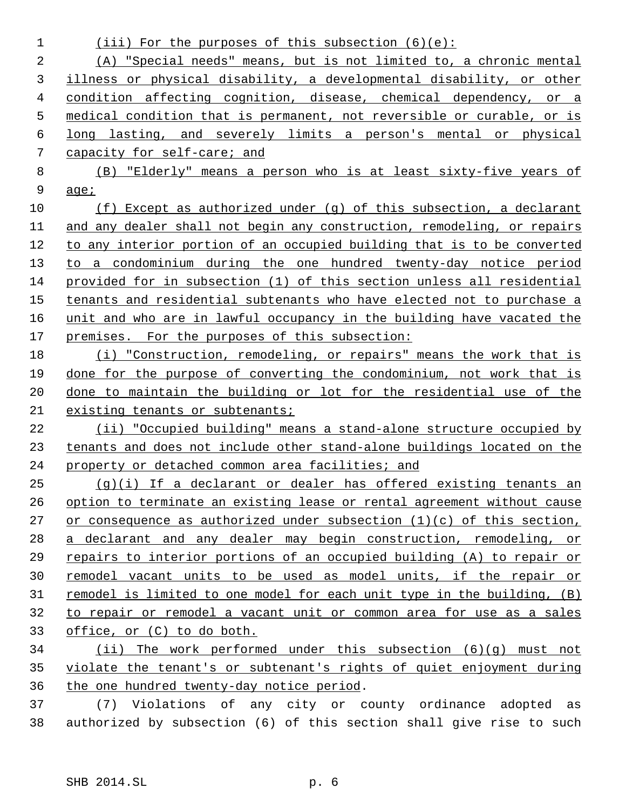| $\mathbf 1$ | (iii) For the purposes of this subsection $(6)(e)$ :                    |
|-------------|-------------------------------------------------------------------------|
| 2           | (A) "Special needs" means, but is not limited to, a chronic mental      |
| 3           | illness or physical disability, a developmental disability, or other    |
| 4           | condition affecting cognition, disease, chemical dependency, or a       |
| 5           | medical condition that is permanent, not reversible or curable, or is   |
| 6           | long lasting, and severely limits a person's mental or physical         |
| 7           | capacity for self-care; and                                             |
| 8           | (B) "Elderly" means a person who is at least sixty-five years of        |
| 9           | age <sub>i</sub>                                                        |
| 10          | $(f)$ Except as authorized under $(g)$ of this subsection, a declarant  |
| 11          | and any dealer shall not begin any construction, remodeling, or repairs |
| 12          | to any interior portion of an occupied building that is to be converted |
| 13          | to a condominium during the one hundred twenty-day notice period        |
| 14          | provided for in subsection (1) of this section unless all residential   |
| 15          | tenants and residential subtenants who have elected not to purchase a   |
| 16          | unit and who are in lawful occupancy in the building have vacated the   |
| 17          | premises. For the purposes of this subsection:                          |
| 18          | (i) "Construction, remodeling, or repairs" means the work that is       |
| 19          | done for the purpose of converting the condominium, not work that is    |
| 20          | done to maintain the building or lot for the residential use of the     |
| 21          | existing tenants or subtenants;                                         |
| 22          | (ii) "Occupied building" means a stand-alone structure occupied by      |
| 23          | tenants and does not include other stand-alone buildings located on the |
| 24          | property or detached common area facilities; and                        |
| 25          | $(q)(i)$ If a declarant or dealer has offered existing tenants an       |
| 26          | option to terminate an existing lease or rental agreement without cause |
| 27          | or consequence as authorized under subsection $(1)(c)$ of this section, |
| 28          | a declarant and any dealer may begin construction, remodeling, or       |
| 29          | repairs to interior portions of an occupied building (A) to repair or   |
| 30          | remodel vacant units to be used as model units, if the repair or        |
| 31          | remodel is limited to one model for each unit type in the building, (B) |
| 32          | to repair or remodel a vacant unit or common area for use as a sales    |
| 33          | office, or (C) to do both.                                              |
| 34          | (ii) The work performed under this subsection (6)(q) must not           |
| 35          | violate the tenant's or subtenant's rights of quiet enjoyment during    |
| 36          | the one hundred twenty-day notice period.                               |
| 37          | (7) Violations of any city or county ordinance adopted as               |

authorized by subsection (6) of this section shall give rise to such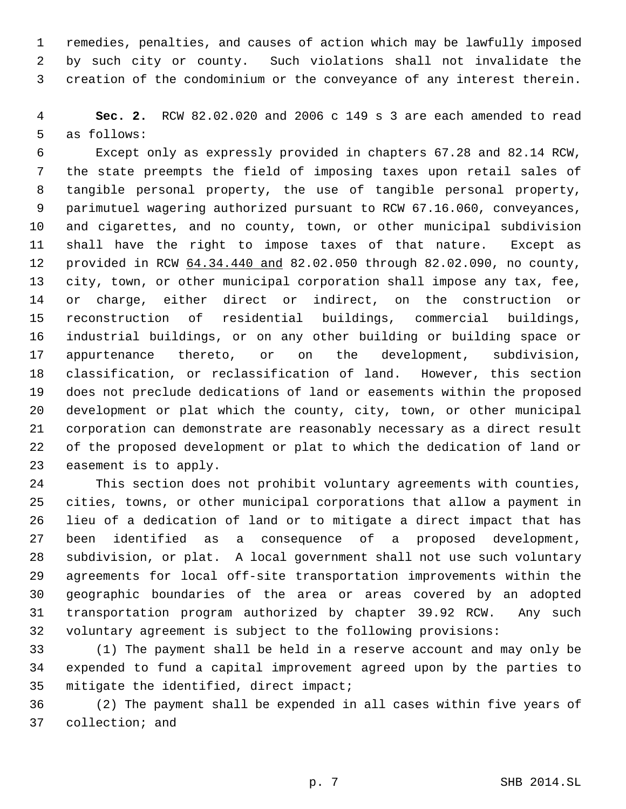remedies, penalties, and causes of action which may be lawfully imposed by such city or county. Such violations shall not invalidate the creation of the condominium or the conveyance of any interest therein.

 **Sec. 2.** RCW 82.02.020 and 2006 c 149 s 3 are each amended to read as follows:

 Except only as expressly provided in chapters 67.28 and 82.14 RCW, the state preempts the field of imposing taxes upon retail sales of tangible personal property, the use of tangible personal property, parimutuel wagering authorized pursuant to RCW 67.16.060, conveyances, and cigarettes, and no county, town, or other municipal subdivision shall have the right to impose taxes of that nature. Except as provided in RCW 64.34.440 and 82.02.050 through 82.02.090, no county, city, town, or other municipal corporation shall impose any tax, fee, or charge, either direct or indirect, on the construction or reconstruction of residential buildings, commercial buildings, industrial buildings, or on any other building or building space or appurtenance thereto, or on the development, subdivision, classification, or reclassification of land. However, this section does not preclude dedications of land or easements within the proposed development or plat which the county, city, town, or other municipal corporation can demonstrate are reasonably necessary as a direct result of the proposed development or plat to which the dedication of land or easement is to apply.

 This section does not prohibit voluntary agreements with counties, cities, towns, or other municipal corporations that allow a payment in lieu of a dedication of land or to mitigate a direct impact that has been identified as a consequence of a proposed development, subdivision, or plat. A local government shall not use such voluntary agreements for local off-site transportation improvements within the geographic boundaries of the area or areas covered by an adopted transportation program authorized by chapter 39.92 RCW. Any such voluntary agreement is subject to the following provisions:

 (1) The payment shall be held in a reserve account and may only be expended to fund a capital improvement agreed upon by the parties to mitigate the identified, direct impact;

 (2) The payment shall be expended in all cases within five years of collection; and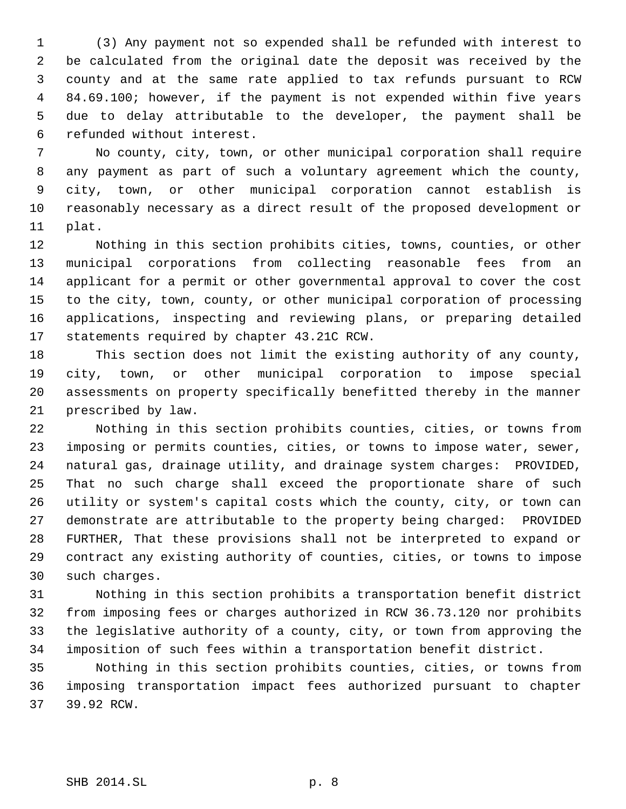(3) Any payment not so expended shall be refunded with interest to be calculated from the original date the deposit was received by the county and at the same rate applied to tax refunds pursuant to RCW 84.69.100; however, if the payment is not expended within five years due to delay attributable to the developer, the payment shall be refunded without interest.

 No county, city, town, or other municipal corporation shall require any payment as part of such a voluntary agreement which the county, city, town, or other municipal corporation cannot establish is reasonably necessary as a direct result of the proposed development or plat.

 Nothing in this section prohibits cities, towns, counties, or other municipal corporations from collecting reasonable fees from an applicant for a permit or other governmental approval to cover the cost to the city, town, county, or other municipal corporation of processing applications, inspecting and reviewing plans, or preparing detailed statements required by chapter 43.21C RCW.

 This section does not limit the existing authority of any county, city, town, or other municipal corporation to impose special assessments on property specifically benefitted thereby in the manner prescribed by law.

 Nothing in this section prohibits counties, cities, or towns from imposing or permits counties, cities, or towns to impose water, sewer, natural gas, drainage utility, and drainage system charges: PROVIDED, That no such charge shall exceed the proportionate share of such utility or system's capital costs which the county, city, or town can demonstrate are attributable to the property being charged: PROVIDED FURTHER, That these provisions shall not be interpreted to expand or contract any existing authority of counties, cities, or towns to impose such charges.

 Nothing in this section prohibits a transportation benefit district from imposing fees or charges authorized in RCW 36.73.120 nor prohibits the legislative authority of a county, city, or town from approving the imposition of such fees within a transportation benefit district.

 Nothing in this section prohibits counties, cities, or towns from imposing transportation impact fees authorized pursuant to chapter 39.92 RCW.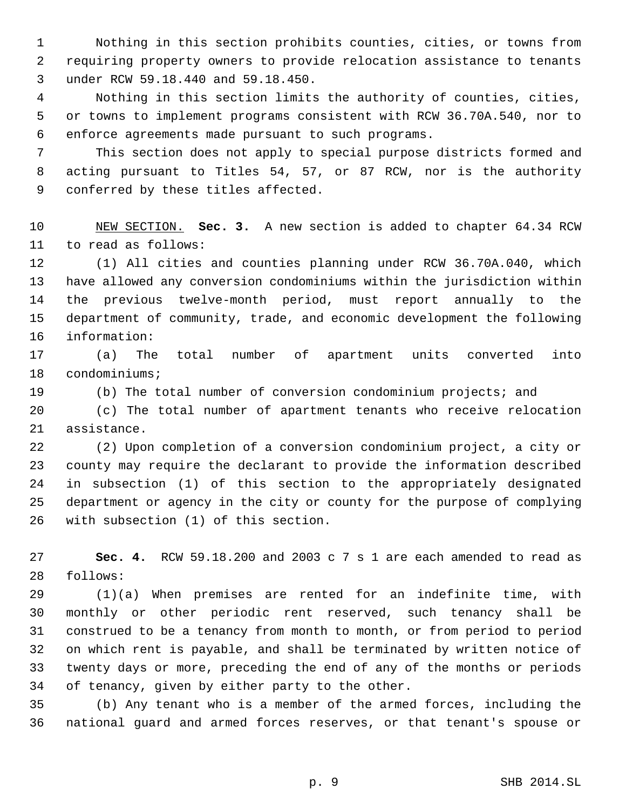Nothing in this section prohibits counties, cities, or towns from requiring property owners to provide relocation assistance to tenants under RCW 59.18.440 and 59.18.450.

 Nothing in this section limits the authority of counties, cities, or towns to implement programs consistent with RCW 36.70A.540, nor to enforce agreements made pursuant to such programs.

 This section does not apply to special purpose districts formed and acting pursuant to Titles 54, 57, or 87 RCW, nor is the authority conferred by these titles affected.

 NEW SECTION. **Sec. 3.** A new section is added to chapter 64.34 RCW to read as follows:

 (1) All cities and counties planning under RCW 36.70A.040, which have allowed any conversion condominiums within the jurisdiction within the previous twelve-month period, must report annually to the department of community, trade, and economic development the following information:

 (a) The total number of apartment units converted into condominiums;

(b) The total number of conversion condominium projects; and

 (c) The total number of apartment tenants who receive relocation assistance.

 (2) Upon completion of a conversion condominium project, a city or county may require the declarant to provide the information described in subsection (1) of this section to the appropriately designated department or agency in the city or county for the purpose of complying with subsection (1) of this section.

 **Sec. 4.** RCW 59.18.200 and 2003 c 7 s 1 are each amended to read as follows:

 (1)(a) When premises are rented for an indefinite time, with monthly or other periodic rent reserved, such tenancy shall be construed to be a tenancy from month to month, or from period to period on which rent is payable, and shall be terminated by written notice of twenty days or more, preceding the end of any of the months or periods of tenancy, given by either party to the other.

 (b) Any tenant who is a member of the armed forces, including the national guard and armed forces reserves, or that tenant's spouse or